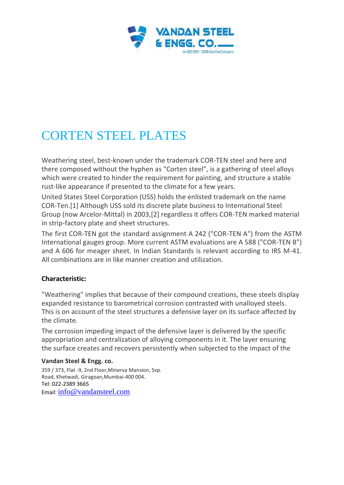

# CORTEN STEEL PLATES

Weathering steel, best-known under the trademark COR-TEN steel and here and there composed without the hyphen as "Corten steel", is a gathering of steel alloys which were created to hinder the requirement for painting, and structure a stable rust-like appearance if presented to the climate for a few years.

United States Steel Corporation (USS) holds the enlisted trademark on the name COR-Ten.[1] Although USS sold its discrete plate business to International Steel Group (now Arcelor-Mittal) in 2003,[2] regardless it offers COR-TEN marked material in strip-factory plate and sheet structures.

The first COR-TEN got the standard assignment A 242 ("COR-TEN A") from the ASTM International gauges group. More current ASTM evaluations are A 588 ("COR-TEN B") and A 606 for meager sheet. In Indian Standards is relevant according to IRS M-41. All combinations are in like manner creation and utilization.

## **Characteristic:**

"Weathering" implies that because of their compound creations, these steels display expanded resistance to barometrical corrosion contrasted with unalloyed steels. This is on account of the steel structures a defensive layer on its surface affected by the climate.

The corrosion impeding impact of the defensive layer is delivered by the specific appropriation and centralization of alloying components in it. The layer ensuring the surface creates and recovers persistently when subjected to the impact of the

## **Vandan Steel & Engg. co.**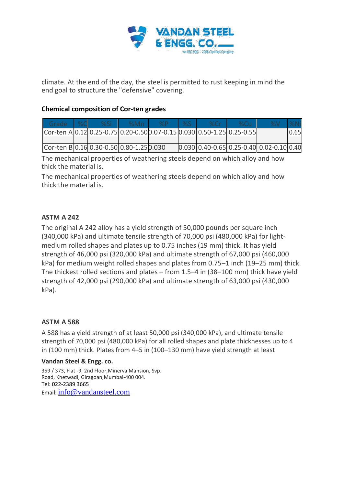

climate. At the end of the day, the steel is permitted to rust keeping in mind the end goal to structure the "defensive" covering.

## **Chemical composition of Cor-ten grades**

| Grade                                                                  | $\sqrt{2}$ | %Si | %Mn | $\sqrt{Q}$ | %S | % $Cr$                                                                                  |  |      |
|------------------------------------------------------------------------|------------|-----|-----|------------|----|-----------------------------------------------------------------------------------------|--|------|
| Cor-ten A 0.12 0.25-0.75 0.20-0.50 0.07-0.15 0.030 0.50-1.25 0.25-0.55 |            |     |     |            |    |                                                                                         |  | 0.65 |
|                                                                        |            |     |     |            |    |                                                                                         |  |      |
| Cor-ten B 0.16 0.30-0.50 0.80-1.25 0.030                               |            |     |     |            |    | $\vert 0.030 \vert 0.40$ -0.65 $\vert 0.25$ -0.40 $\vert 0.02$ -0.10 $\vert 0.40 \vert$ |  |      |

The mechanical properties of weathering steels depend on which alloy and how thick the material is.

The mechanical properties of weathering steels depend on which alloy and how thick the material is.

## **ASTM A 242**

The original A 242 alloy has a yield strength of 50,000 pounds per square inch (340,000 kPa) and ultimate tensile strength of 70,000 psi (480,000 kPa) for lightmedium rolled shapes and plates up to 0.75 inches (19 mm) thick. It has yield strength of 46,000 psi (320,000 kPa) and ultimate strength of 67,000 psi (460,000 kPa) for medium weight rolled shapes and plates from 0.75–1 inch (19–25 mm) thick. The thickest rolled sections and plates – from 1.5–4 in (38–100 mm) thick have yield strength of 42,000 psi (290,000 kPa) and ultimate strength of 63,000 psi (430,000 kPa).

## **ASTM A 588**

A 588 has a yield strength of at least 50,000 psi (340,000 kPa), and ultimate tensile strength of 70,000 psi (480,000 kPa) for all rolled shapes and plate thicknesses up to 4 in (100 mm) thick. Plates from 4–5 in (100–130 mm) have yield strength at least

#### **Vandan Steel & Engg. co.**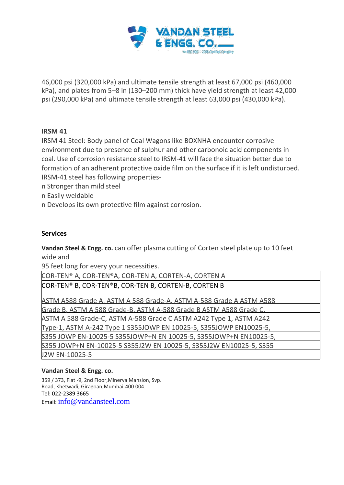

46,000 psi (320,000 kPa) and ultimate tensile strength at least 67,000 psi (460,000 kPa), and plates from 5–8 in (130–200 mm) thick have yield strength at least 42,000 psi (290,000 kPa) and ultimate tensile strength at least 63,000 psi (430,000 kPa).

## **IRSM 41**

IRSM 41 Steel: Body panel of Coal Wagons like BOXNHA encounter corrosive environment due to presence of sulphur and other carbonoic acid components in coal. Use of corrosion resistance steel to IRSM-41 will face the situation better due to formation of an adherent protective oxide film on the surface if it is left undisturbed. IRSM-41 steel has following properties-

n Stronger than mild steel

n Easily weldable

n Develops its own protective film against corrosion.

#### **Services**

**Vandan Steel & Engg. co.** can offer plasma cutting of Corten steel plate up to 10 feet wide and

95 feet long for every your necessities.

COR-TEN® A, COR-TEN®A, COR-TEN A, CORTEN-A, CORTEN A COR-TEN® B, COR-TEN®B, COR-TEN B, CORTEN-B, CORTEN B

ASTM A588 Grade A, ASTM A 588 Grade-A, ASTM A-588 Grade A ASTM A588 Grade B, ASTM A 588 Grade-B, ASTM A-588 Grade B ASTM A588 Grade C, ASTM A 588 Grade-C, ASTM A-588 Grade C ASTM A242 Type 1, ASTM A242 Type-1, ASTM A-242 Type 1 S355JOWP EN 10025-5, S355JOWP EN10025-5, S355 JOWP EN-10025-5 S355JOWP+N EN 10025-5, S355JOWP+N EN10025-5, S355 JOWP+N EN-10025-5 S355J2W EN 10025-5, S355J2W EN10025-5, S355 J2W EN-10025-5

#### **Vandan Steel & Engg. co.**